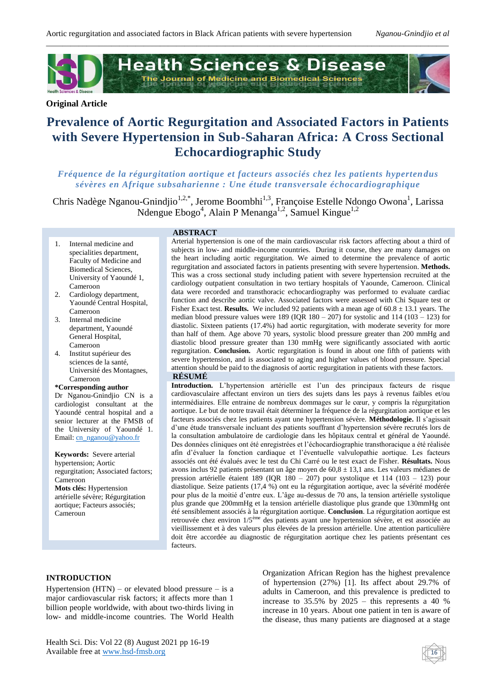

# **Original Article**

# **Prevalence of Aortic Regurgitation and Associated Factors in Patients with Severe Hypertension in Sub-Saharan Africa: A Cross Sectional Echocardiographic Study**

# *Fréquence de la régurgitation aortique et facteurs associés chez les patients hyperten dus sévères en Afrique subsaharienne : Une étude transversale échocardiographique*

Chris Nadège Nganou-Gnindjio<sup>1,2,\*</sup>, Jerome Boombhi<sup>1,3</sup>, Françoise Estelle Ndongo Owona<sup>1</sup>, Larissa Ndengue Ebogo<sup>4</sup>, Alain P Menanga<sup>1,2</sup>, Samuel Kingue<sup>1,2</sup>

# **ABSTRACT**

- 1. Internal medicine and specialities department, Faculty of Medicine and Biomedical Sciences, University of Yaoundé 1, Cameroon
- 2. Cardiology department, Yaoundé Central Hospital, Cameroon
- 3. Internal medicine department, Yaoundé General Hospital, Cameroon
- 4. Institut supérieur des sciences de la santé, Université des Montagnes, Cameroon

#### **\*Corresponding author**

Dr Nganou-Gnindjio CN is a cardiologist consultant at the Yaoundé central hospital and a senior lecturer at the FMSB of the University of Yaoundé 1. Email[: cn\\_nganou@yahoo.fr](mailto:cn_nganou@yahoo.fr)

**Keywords:** Severe arterial hypertension; Aortic regurgitation; Associated factors; Cameroon **Mots clés:** Hypertension artérielle sévère; Régurgitation aortique; Facteurs associés; Cameroun

Arterial hypertension is one of the main cardiovascular risk factors affecting about a third of subjects in low- and middle-income countries. During it course, they are many damages on the heart including aortic regurgitation. We aimed to determine the prevalence of aortic regurgitation and associated factors in patients presenting with severe hypertension. **Methods.** This was a cross sectional study including patient with severe hypertension recruited at the cardiology outpatient consultation in two tertiary hospitals of Yaounde, Cameroon. Clinical data were recorded and transthoracic echocardiography was performed to evaluate cardiac function and describe aortic valve. Associated factors were assessed with Chi Square test or Fisher Exact test. **Results.** We included 92 patients with a mean age of  $60.8 \pm 13.1$  years. The median blood pressure values were  $189$  (IOR  $180 - 207$ ) for systolic and  $114$  ( $103 - 123$ ) for diastolic. Sixteen patients (17.4%) had aortic regurgitation, with moderate severity for more than half of them. Age above 70 years, systolic blood pressure greater than 200 mmHg and diastolic blood pressure greater than 130 mmHg were significantly associated with aortic regurgitation. **Conclusion.** Aortic regurgitation is found in about one fifth of patients with severe hypertension, and is associated to aging and higher values of blood pressure. Special attention should be paid to the diagnosis of aortic regurgitation in patients with these factors.

# **RÉSUMÉ**

**Introduction.** L'hypertension artérielle est l'un des principaux facteurs de risque cardiovasculaire affectant environ un tiers des sujets dans les pays à revenus faibles et/ou intermédiaires. Elle entraine de nombreux dommages sur le cœur, y compris la régurgitation aortique. Le but de notre travail était déterminer la fréquence de la régurgitation aortique et les facteurs associés chez les patients ayant une hypertension sévère. **Méthodologie.** Il s'agissait d'une étude transversale incluant des patients souffrant d'hypertension sévère recrutés lors de la consultation ambulatoire de cardiologie dans les hôpitaux central et général de Yaoundé. Des données cliniques ont été enregistrées et l'échocardiographie transthoracique a été réalisée afin d'évaluer la fonction cardiaque et l'éventuelle valvulopathie aortique. Les facteurs associés ont été évalués avec le test du Chi Carré ou le test exact de Fisher. **Résultats.** Nous avons inclus 92 patients présentant un âge moyen de 60,8 ± 13,1 ans. Les valeurs médianes de pression artérielle étaient 189 (IQR 180 – 207) pour systolique et 114 (103 – 123) pour diastolique. Seize patients (17,4 %) ont eu la régurgitation aortique, avec la sévérité modérée pour plus de la moitié d'entre eux. L'âge au-dessus de 70 ans, la tension artérielle systolique plus grande que 200mmHg et la tension artérielle diastolique plus grande que 130mmHg ont été sensiblement associés à la régurgitation aortique. **Conclusion**. La régurgitation aortique est retrouvée chez environ 1/5ème des patients ayant une hypertension sévère, et est associée au vieillissement et à des valeurs plus élevées de la pression artérielle. Une attention particulière doit être accordée au diagnostic de régurgitation aortique chez les patients présentant ces facteurs.

#### **INTRODUCTION**

Hypertension  $(HTN)$  – or elevated blood pressure – is a major cardiovascular risk factors; it affects more than 1 billion people worldwide, with about two-thirds living in low- and middle-income countries. The World Health

Health Sci. Dis: Vol 22 (8) August 2021 pp 16-19 Available free at www.hsd-fmsb.org

Organization African Region has the highest prevalence of hypertension (27%) [1]. Its affect about 29.7% of adults in Cameroon, and this prevalence is predicted to increase to  $35.5\%$  by  $2025 - this$  represents a 40 % increase in 10 years. About one patient in ten is aware of the disease, thus many patients are diagnosed at a stage

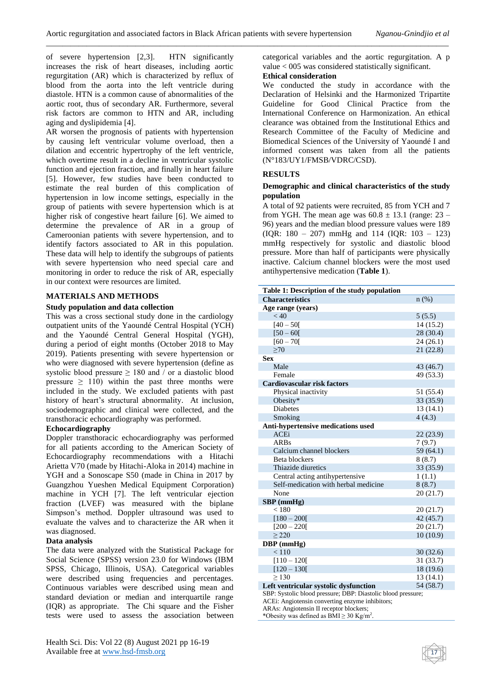of severe hypertension [2,3]. HTN significantly increases the risk of heart diseases, including aortic regurgitation (AR) which is characterized by reflux of blood from the aorta into the left ventricle during diastole. HTN is a common cause of abnormalities of the aortic root, thus of secondary AR. Furthermore, several risk factors are common to HTN and AR, including aging and dyslipidemia [4].

AR worsen the prognosis of patients with hypertension by causing left ventricular volume overload, then a dilation and eccentric hypertrophy of the left ventricle, which overtime result in a decline in ventricular systolic function and ejection fraction, and finally in heart failure [5]. However, few studies have been conducted to estimate the real burden of this complication of hypertension in low income settings, especially in the group of patients with severe hypertension which is at higher risk of congestive heart failure [6]. We aimed to determine the prevalence of AR in a group of Cameroonian patients with severe hypertension, and to identify factors associated to AR in this population. These data will help to identify the subgroups of patients with severe hypertension who need special care and monitoring in order to reduce the risk of AR, especially in our context were resources are limited.

# **MATERIALS AND METHODS**

## **Study population and data collection**

This was a cross sectional study done in the cardiology outpatient units of the Yaoundé Central Hospital (YCH) and the Yaoundé Central General Hospital (YGH), during a period of eight months (October 2018 to May 2019). Patients presenting with severe hypertension or who were diagnosed with severe hypertension (define as systolic blood pressure  $\geq$  180 and / or a diastolic blood pressure  $\geq$  110) within the past three months were included in the study. We excluded patients with past history of heart's structural abnormality. At inclusion, sociodemographic and clinical were collected, and the transthoracic echocardiography was performed.

# **Echocardiography**

Doppler transthoracic echocardiography was performed for all patients according to the American Society of Echocardiography recommendations with a Hitachi Arietta V70 (made by Hitachi-Aloka in 2014) machine in YGH and a Sonoscape S50 (made in China in 2017 by Guangzhou Yueshen Medical Equipment Corporation) machine in YCH [7]. The left ventricular ejection fraction (LVEF) was measured with the biplane Simpson's method. Doppler ultrasound was used to evaluate the valves and to characterize the AR when it was diagnosed.

#### **Data analysis**

The data were analyzed with the Statistical Package for Social Science (SPSS) version 23.0 for Windows (IBM SPSS, Chicago, Illinois, USA). Categorical variables were described using frequencies and percentages. Continuous variables were described using mean and standard deviation or median and interquartile range (IQR) as appropriate. The Chi square and the Fisher tests were used to assess the association between categorical variables and the aortic regurgitation. A p value < 005 was considered statistically significant.

# **Ethical consideration**

We conducted the study in accordance with the Declaration of Helsinki and the Harmonized Tripartite Guideline for Good Clinical Practice from the International Conference on Harmonization. An ethical clearance was obtained from the Institutional Ethics and Research Committee of the Faculty of Medicine and Biomedical Sciences of the University of Yaoundé I and informed consent was taken from all the patients (N°183/UY1/FMSB/VDRC/CSD).

# **RESULTS**

## **Demographic and clinical characteristics of the study population**

A total of 92 patients were recruited, 85 from YCH and 7 from YGH. The mean age was  $60.8 \pm 13.1$  (range: 23 – 96) years and the median blood pressure values were 189 (IQR: 180 – 207) mmHg and 114 (IQR: 103 – 123) mmHg respectively for systolic and diastolic blood pressure. More than half of participants were physically inactive. Calcium channel blockers were the most used antihypertensive medication (**Table 1**).

| Table 1: Description of the study population |           |  |  |  |
|----------------------------------------------|-----------|--|--|--|
| <b>Characteristics</b>                       | n(%)      |  |  |  |
| Age range (years)                            |           |  |  |  |
| < 40                                         | 5(5.5)    |  |  |  |
| $[40 - 50]$                                  | 14(15.2)  |  |  |  |
| $[50 - 60]$                                  | 28 (30.4) |  |  |  |
| $[60 - 70]$                                  | 24 (26.1) |  |  |  |
| >70                                          | 21(22.8)  |  |  |  |
| <b>Sex</b>                                   |           |  |  |  |
| Male                                         | 43 (46.7) |  |  |  |
| Female                                       | 49 (53.3) |  |  |  |
| Cardiovascular risk factors                  |           |  |  |  |
| Physical inactivity                          | 51 (55.4) |  |  |  |
| Obesity*                                     | 33 (35.9) |  |  |  |
| <b>Diabetes</b>                              | 13(14.1)  |  |  |  |
| Smoking                                      | 4(4.3)    |  |  |  |
| <b>Anti-hypertensive medications used</b>    |           |  |  |  |
| <b>ACEi</b>                                  | 22(23.9)  |  |  |  |
| <b>ARBs</b>                                  | 7(9.7)    |  |  |  |
| Calcium channel blockers                     | 59 (64.1) |  |  |  |
| Beta blockers                                | 8(8.7)    |  |  |  |
| Thiazide diuretics                           | 33 (35.9) |  |  |  |
| Central acting antihypertensive              | 1(1.1)    |  |  |  |
| Self-medication with herbal medicine         | 8(8.7)    |  |  |  |
| None                                         | 20 (21.7) |  |  |  |
| $SBP$ (mmHg)                                 |           |  |  |  |
| < 180                                        | 20(21.7)  |  |  |  |
| $[180 - 200]$                                | 42(45.7)  |  |  |  |
| $[200 - 220]$                                | 20(21.7)  |  |  |  |
| > 220                                        | 10(10.9)  |  |  |  |
| DBP (mmHg)                                   |           |  |  |  |
| < 110                                        | 30(32.6)  |  |  |  |
| $[110 - 120]$                                | 31 (33.7) |  |  |  |
| $[120 - 130]$                                | 18 (19.6) |  |  |  |
| > 130                                        | 13(14.1)  |  |  |  |
| Left ventricular systolic dysfunction        | 54 (58.7) |  |  |  |

SBP: Systolic blood pressure; DBP: Diastolic blood pressure;

17

ACEi: Angiotensin converting enzyme inhibitors;

ARAs: Angiotensin II receptor blockers;

\*Obesity was defined as  $BMI \geq 30$  Kg/m<sup>2</sup>.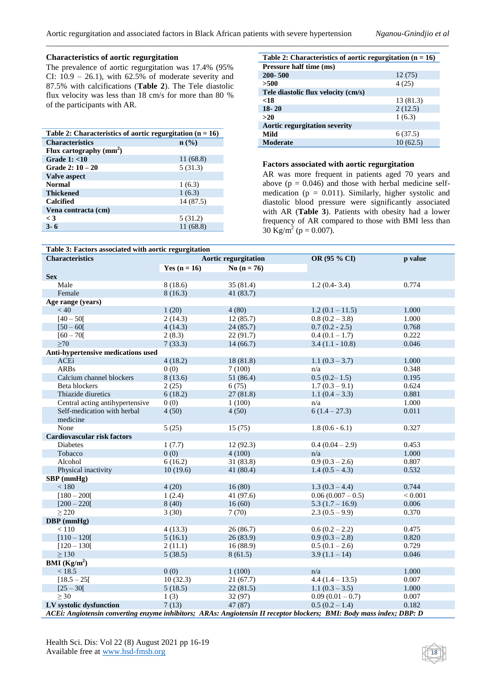# **Characteristics of aortic regurgitation**

The prevalence of aortic regurgitation was 17.4% (95% CI:  $10.9 - 26.1$ ), with  $62.5\%$  of moderate severity and 87.5% with calcifications (**Table 2**). The Tele diastolic flux velocity was less than 18 cm/s for more than 80 % of the participants with AR.

| Table 2: Characteristics of aortic regurgitation ( $n = 16$ ) |           |  |  |  |
|---------------------------------------------------------------|-----------|--|--|--|
| <b>Characteristics</b>                                        | n (%)     |  |  |  |
| Flux cartography $(mm^2)$                                     |           |  |  |  |
| Grade $1: < 10$                                               | 11 (68.8) |  |  |  |
| Grade $2:10-20$                                               | 5(31.3)   |  |  |  |
| Valve aspect                                                  |           |  |  |  |
| <b>Normal</b>                                                 | 1(6.3)    |  |  |  |
| <b>Thickened</b>                                              | 1(6.3)    |  |  |  |
| <b>Calcified</b>                                              | 14 (87.5) |  |  |  |
| Vena contracta (cm)                                           |           |  |  |  |
| $\lt$ 3                                                       | 5(31.2)   |  |  |  |
| $3 - 6$                                                       | 11 (68.8) |  |  |  |

| Table 2: Characteristics of aortic regurgitation ( $n = 16$ ) |           |  |  |  |
|---------------------------------------------------------------|-----------|--|--|--|
| Pressure half time (ms)                                       |           |  |  |  |
| $200 - 500$                                                   | 12(75)    |  |  |  |
| >500                                                          | 4(25)     |  |  |  |
| Tele diastolic flux velocity (cm/s)                           |           |  |  |  |
| < 18                                                          | 13 (81.3) |  |  |  |
| $18 - 20$                                                     | 2(12.5)   |  |  |  |
| >20                                                           | 1(6.3)    |  |  |  |
| <b>Aortic regurgitation severity</b>                          |           |  |  |  |
| Mild                                                          | 6(37.5)   |  |  |  |
| Moderate                                                      | 10(62.5)  |  |  |  |

# **Factors associated with aortic regurgitation**

AR was more frequent in patients aged 70 years and above  $(p = 0.046)$  and those with herbal medicine selfmedication ( $p = 0.011$ ). Similarly, higher systolic and diastolic blood pressure were significantly associated with AR (**Table 3**). Patients with obesity had a lower frequency of AR compared to those with BMI less than 30 Kg/m<sup>2</sup> (p = 0.007).

| Table 3: Factors associated with aortic regurgitation                                                                |                             |               |                   |         |  |  |
|----------------------------------------------------------------------------------------------------------------------|-----------------------------|---------------|-------------------|---------|--|--|
| <b>Characteristics</b>                                                                                               | <b>Aortic regurgitation</b> |               | OR (95 % CI)      | p value |  |  |
|                                                                                                                      | Yes $(n = 16)$              | No $(n = 76)$ |                   |         |  |  |
| <b>Sex</b>                                                                                                           |                             |               |                   |         |  |  |
| Male                                                                                                                 | 8(18.6)                     | 35(81.4)      | $1.2(0.4-3.4)$    | 0.774   |  |  |
| Female                                                                                                               | 8(16.3)                     | 41(83.7)      |                   |         |  |  |
| Age range (years)                                                                                                    |                             |               |                   |         |  |  |
| < 40                                                                                                                 | 1(20)                       | 4(80)         | $1.2(0.1 - 11.5)$ | 1.000   |  |  |
| $[40 - 50]$                                                                                                          | 2(14.3)                     | 12(85.7)      | $0.8(0.2 - 3.8)$  | 1.000   |  |  |
| $[50 - 60]$                                                                                                          | 4(14.3)                     | 24(85.7)      | $0.7(0.2 - 2.5)$  | 0.768   |  |  |
| $[60 - 70]$                                                                                                          | 2(8.3)                      | 22(91.7)      | $0.4(0.1 - 1.7)$  | 0.222   |  |  |
| $\geq 70$                                                                                                            | 7(33.3)                     | 14(66.7)      | $3.4(1.1 - 10.8)$ | 0.046   |  |  |
| Anti-hypertensive medications used                                                                                   |                             |               |                   |         |  |  |
| <b>ACEi</b>                                                                                                          | 4(18.2)                     | 18(81.8)      | $1.1(0.3 - 3.7)$  | 1.000   |  |  |
| <b>ARBs</b>                                                                                                          | 0(0)                        | 7(100)        | n/a               | 0.348   |  |  |
| Calcium channel blockers                                                                                             | 8(13.6)                     | 51 (86.4)     | $0.5(0.2 - 1.5)$  | 0.195   |  |  |
| Beta blockers                                                                                                        | 2(25)                       | 6(75)         | $1.7(0.3 - 9.1)$  | 0.624   |  |  |
| Thiazide diuretics                                                                                                   | 6(18.2)                     | 27(81.8)      | 1.1 $(0.4 - 3.3)$ | 0.881   |  |  |
| Central acting antihypertensive                                                                                      | 0(0)                        | 1(100)        | n/a               | 1.000   |  |  |
| Self-medication with herbal                                                                                          | 4(50)                       | 4(50)         | $6(1.4-27.3)$     | 0.011   |  |  |
| medicine                                                                                                             |                             |               |                   |         |  |  |
| None                                                                                                                 | 5(25)                       | 15(75)        | $1.8(0.6 - 6.1)$  | 0.327   |  |  |
| Cardiovascular risk factors                                                                                          |                             |               |                   |         |  |  |
| Diabetes                                                                                                             | 1(7.7)                      | 12(92.3)      | $0.4(0.04-2.9)$   | 0.453   |  |  |
| Tobacco                                                                                                              | 0(0)                        | 4(100)        | n/a               | 1.000   |  |  |
| Alcohol                                                                                                              | 6(16.2)                     | 31(83.8)      | $0.9(0.3 - 2.6)$  | 0.807   |  |  |
| Physical inactivity                                                                                                  | 10(19.6)                    | 41(80.4)      | $1.4(0.5-4.3)$    | 0.532   |  |  |
| SBP (mmHg)                                                                                                           |                             |               |                   |         |  |  |
| $<180\,$                                                                                                             | 4(20)                       | 16(80)        | $1.3(0.3 - 4.4)$  | 0.744   |  |  |
| $[180 - 200]$                                                                                                        | 1(2.4)                      | 41 (97.6)     | $0.06(0.007-0.5)$ | < 0.001 |  |  |
| $[200 - 220]$                                                                                                        | 8(40)                       | 16(60)        | $5.3(1.7 - 16.9)$ | 0.006   |  |  |
| $\geq$ 220                                                                                                           | 3(30)                       | 7(70)         | $2.3(0.5-9.9)$    | 0.370   |  |  |
| DBP (mmHg)                                                                                                           |                             |               |                   |         |  |  |
| < 110                                                                                                                | 4(13.3)                     | 26(86.7)      | $0.6(0.2 - 2.2)$  | 0.475   |  |  |
| $[110 - 120]$                                                                                                        | 5(16.1)                     | 26(83.9)      | $0.9(0.3-2.8)$    | 0.820   |  |  |
| $[120 - 130]$                                                                                                        | 2(11.1)                     | 16(88.9)      | $0.5(0.1 - 2.6)$  | 0.729   |  |  |
| $\geq 130$                                                                                                           | 5(38.5)                     | 8(61.5)       | $3.9(1.1 - 14)$   | 0.046   |  |  |
| <b>BMI</b> ( $\text{Kg/m}^2$ )                                                                                       |                             |               |                   |         |  |  |
| < 18.5                                                                                                               | 0(0)                        | 1(100)        | n/a               | 1.000   |  |  |
| $[18.5 - 25]$                                                                                                        | 10(32.3)                    | 21(67.7)      | $4.4(1.4-13.5)$   | 0.007   |  |  |
| $[25 - 30]$                                                                                                          | 5(18.5)                     | 22(81.5)      | $1.1(0.3-3.5)$    | 1.000   |  |  |
| $\geq 30$                                                                                                            | 1(3)                        | 32 (97)       | $0.09(0.01-0.7)$  | 0.007   |  |  |
| LV systolic dysfunction                                                                                              | 7(13)                       | 47(87)        | $0.5(0.2 - 1.4)$  | 0.182   |  |  |
| ACEi: Angiotensin converting enzyme inhibitors; ARAs: Angiotensin II receptor blockers; BMI: Body mass index; DBP: D |                             |               |                   |         |  |  |